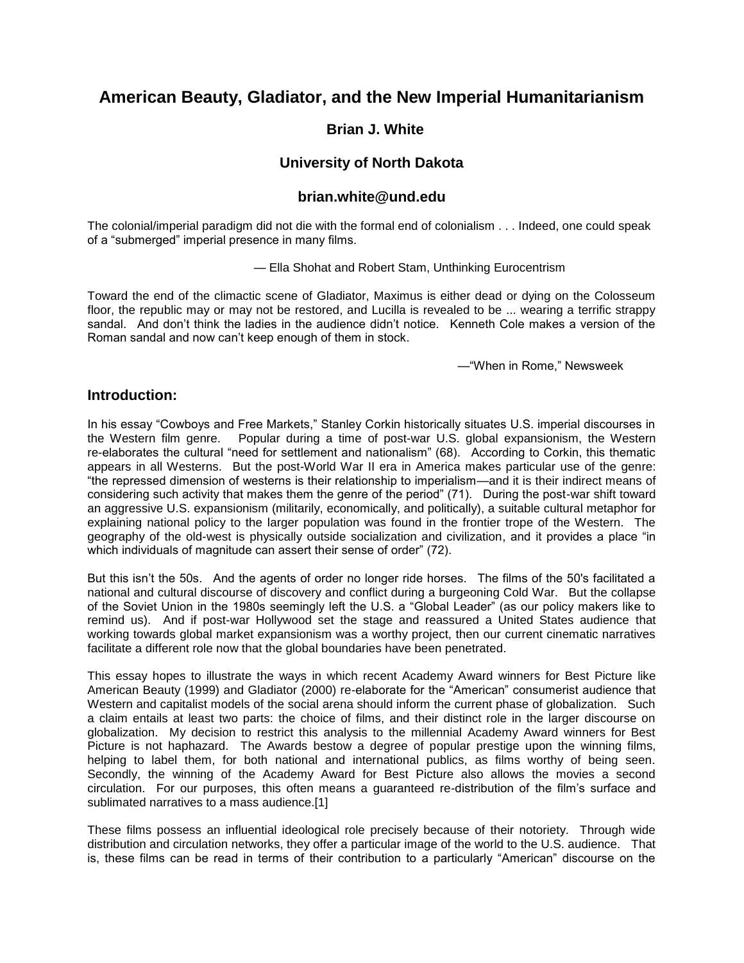# **American Beauty, Gladiator, and the New Imperial Humanitarianism**

### **Brian J. White**

### **University of North Dakota**

#### **brian.white@und.edu**

The colonial/imperial paradigm did not die with the formal end of colonialism . . . Indeed, one could speak of a "submerged" imperial presence in many films.

— Ella Shohat and Robert Stam, Unthinking Eurocentrism

Toward the end of the climactic scene of Gladiator, Maximus is either dead or dying on the Colosseum floor, the republic may or may not be restored, and Lucilla is revealed to be ... wearing a terrific strappy sandal. And don't think the ladies in the audience didn't notice. Kenneth Cole makes a version of the Roman sandal and now can't keep enough of them in stock.

—"When in Rome," Newsweek

#### **Introduction:**

In his essay "Cowboys and Free Markets," Stanley Corkin historically situates U.S. imperial discourses in the Western film genre. Popular during a time of post-war U.S. global expansionism, the Western re-elaborates the cultural "need for settlement and nationalism" (68). According to Corkin, this thematic appears in all Westerns. But the post-World War II era in America makes particular use of the genre: "the repressed dimension of westerns is their relationship to imperialism—and it is their indirect means of considering such activity that makes them the genre of the period" (71). During the post-war shift toward an aggressive U.S. expansionism (militarily, economically, and politically), a suitable cultural metaphor for explaining national policy to the larger population was found in the frontier trope of the Western. The geography of the old-west is physically outside socialization and civilization, and it provides a place "in which individuals of magnitude can assert their sense of order" (72).

But this isn't the 50s. And the agents of order no longer ride horses. The films of the 50's facilitated a national and cultural discourse of discovery and conflict during a burgeoning Cold War. But the collapse of the Soviet Union in the 1980s seemingly left the U.S. a "Global Leader" (as our policy makers like to remind us). And if post-war Hollywood set the stage and reassured a United States audience that working towards global market expansionism was a worthy project, then our current cinematic narratives facilitate a different role now that the global boundaries have been penetrated.

This essay hopes to illustrate the ways in which recent Academy Award winners for Best Picture like American Beauty (1999) and Gladiator (2000) re-elaborate for the "American" consumerist audience that Western and capitalist models of the social arena should inform the current phase of globalization. Such a claim entails at least two parts: the choice of films, and their distinct role in the larger discourse on globalization. My decision to restrict this analysis to the millennial Academy Award winners for Best Picture is not haphazard. The Awards bestow a degree of popular prestige upon the winning films, helping to label them, for both national and international publics, as films worthy of being seen. Secondly, the winning of the Academy Award for Best Picture also allows the movies a second circulation. For our purposes, this often means a guaranteed re-distribution of the film's surface and sublimated narratives to a mass audience.[1]

These films possess an influential ideological role precisely because of their notoriety. Through wide distribution and circulation networks, they offer a particular image of the world to the U.S. audience. That is, these films can be read in terms of their contribution to a particularly "American" discourse on the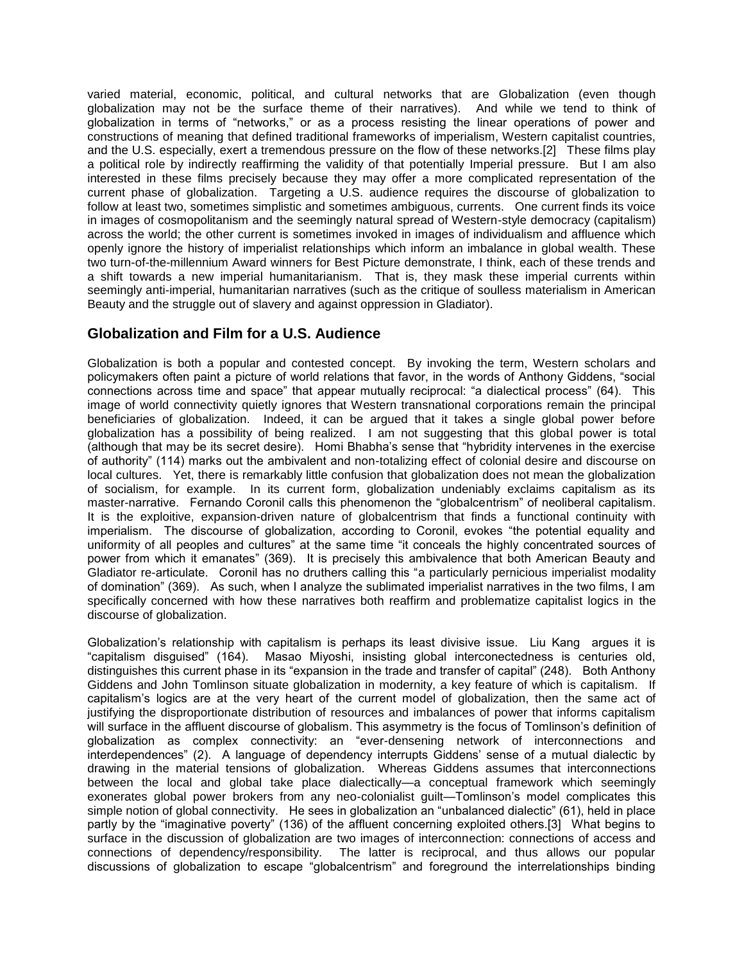varied material, economic, political, and cultural networks that are Globalization (even though globalization may not be the surface theme of their narratives). And while we tend to think of globalization in terms of "networks," or as a process resisting the linear operations of power and constructions of meaning that defined traditional frameworks of imperialism, Western capitalist countries, and the U.S. especially, exert a tremendous pressure on the flow of these networks.[2] These films play a political role by indirectly reaffirming the validity of that potentially Imperial pressure. But I am also interested in these films precisely because they may offer a more complicated representation of the current phase of globalization. Targeting a U.S. audience requires the discourse of globalization to follow at least two, sometimes simplistic and sometimes ambiguous, currents. One current finds its voice in images of cosmopolitanism and the seemingly natural spread of Western-style democracy (capitalism) across the world; the other current is sometimes invoked in images of individualism and affluence which openly ignore the history of imperialist relationships which inform an imbalance in global wealth. These two turn-of-the-millennium Award winners for Best Picture demonstrate, I think, each of these trends and a shift towards a new imperial humanitarianism. That is, they mask these imperial currents within seemingly anti-imperial, humanitarian narratives (such as the critique of soulless materialism in American Beauty and the struggle out of slavery and against oppression in Gladiator).

## **Globalization and Film for a U.S. Audience**

Globalization is both a popular and contested concept. By invoking the term, Western scholars and policymakers often paint a picture of world relations that favor, in the words of Anthony Giddens, "social connections across time and space" that appear mutually reciprocal: "a dialectical process" (64). This image of world connectivity quietly ignores that Western transnational corporations remain the principal beneficiaries of globalization. Indeed, it can be argued that it takes a single global power before globalization has a possibility of being realized. I am not suggesting that this global power is total (although that may be its secret desire). Homi Bhabha's sense that "hybridity intervenes in the exercise of authority" (114) marks out the ambivalent and non-totalizing effect of colonial desire and discourse on local cultures. Yet, there is remarkably little confusion that globalization does not mean the globalization of socialism, for example. In its current form, globalization undeniably exclaims capitalism as its master-narrative. Fernando Coronil calls this phenomenon the "globalcentrism" of neoliberal capitalism. It is the exploitive, expansion-driven nature of globalcentrism that finds a functional continuity with imperialism. The discourse of globalization, according to Coronil, evokes "the potential equality and uniformity of all peoples and cultures" at the same time "it conceals the highly concentrated sources of power from which it emanates" (369). It is precisely this ambivalence that both American Beauty and Gladiator re-articulate. Coronil has no druthers calling this "a particularly pernicious imperialist modality of domination" (369). As such, when I analyze the sublimated imperialist narratives in the two films, I am specifically concerned with how these narratives both reaffirm and problematize capitalist logics in the discourse of globalization.

Globalization's relationship with capitalism is perhaps its least divisive issue. Liu Kang argues it is "capitalism disguised" (164). Masao Miyoshi, insisting global interconectedness is centuries old, distinguishes this current phase in its "expansion in the trade and transfer of capital" (248). Both Anthony Giddens and John Tomlinson situate globalization in modernity, a key feature of which is capitalism. If capitalism's logics are at the very heart of the current model of globalization, then the same act of justifying the disproportionate distribution of resources and imbalances of power that informs capitalism will surface in the affluent discourse of globalism. This asymmetry is the focus of Tomlinson's definition of globalization as complex connectivity: an "ever-densening network of interconnections and interdependences" (2). A language of dependency interrupts Giddens' sense of a mutual dialectic by drawing in the material tensions of globalization. Whereas Giddens assumes that interconnections between the local and global take place dialectically—a conceptual framework which seemingly exonerates global power brokers from any neo-colonialist guilt—Tomlinson's model complicates this simple notion of global connectivity. He sees in globalization an "unbalanced dialectic" (61), held in place partly by the "imaginative poverty" (136) of the affluent concerning exploited others.[3] What begins to surface in the discussion of globalization are two images of interconnection: connections of access and connections of dependency/responsibility. The latter is reciprocal, and thus allows our popular discussions of globalization to escape "globalcentrism" and foreground the interrelationships binding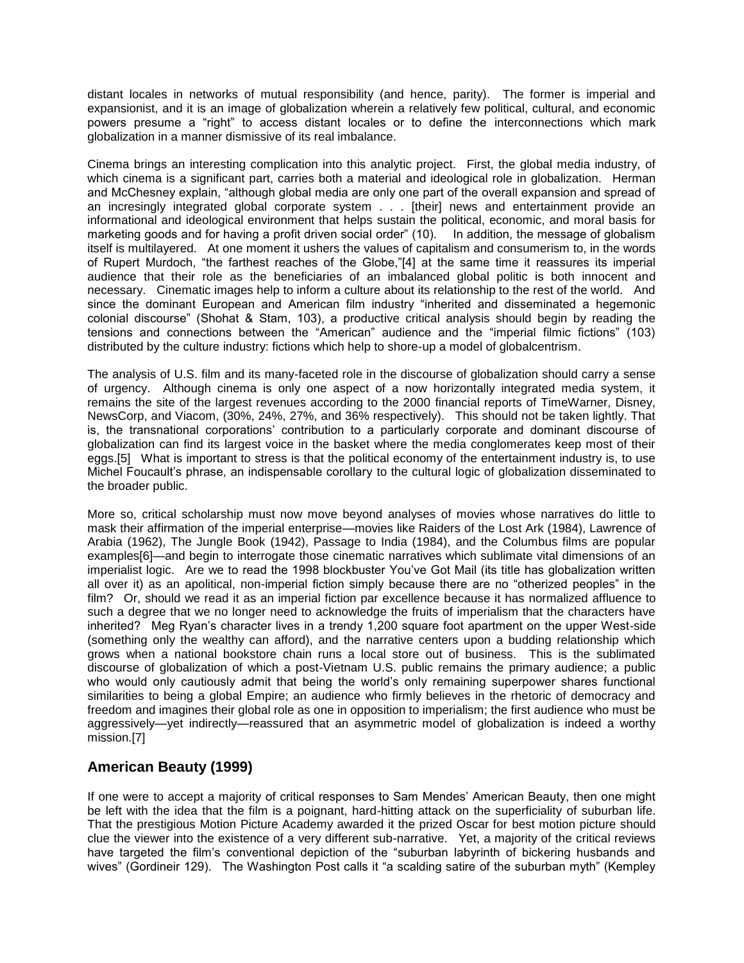distant locales in networks of mutual responsibility (and hence, parity). The former is imperial and expansionist, and it is an image of globalization wherein a relatively few political, cultural, and economic powers presume a "right" to access distant locales or to define the interconnections which mark globalization in a manner dismissive of its real imbalance.

Cinema brings an interesting complication into this analytic project. First, the global media industry, of which cinema is a significant part, carries both a material and ideological role in globalization. Herman and McChesney explain, "although global media are only one part of the overall expansion and spread of an incresingly integrated global corporate system . . . [their] news and entertainment provide an informational and ideological environment that helps sustain the political, economic, and moral basis for marketing goods and for having a profit driven social order" (10). In addition, the message of globalism itself is multilayered. At one moment it ushers the values of capitalism and consumerism to, in the words of Rupert Murdoch, "the farthest reaches of the Globe,"[4] at the same time it reassures its imperial audience that their role as the beneficiaries of an imbalanced global politic is both innocent and necessary. Cinematic images help to inform a culture about its relationship to the rest of the world. And since the dominant European and American film industry "inherited and disseminated a hegemonic colonial discourse" (Shohat & Stam, 103), a productive critical analysis should begin by reading the tensions and connections between the "American" audience and the "imperial filmic fictions" (103) distributed by the culture industry: fictions which help to shore-up a model of globalcentrism.

The analysis of U.S. film and its many-faceted role in the discourse of globalization should carry a sense of urgency. Although cinema is only one aspect of a now horizontally integrated media system, it remains the site of the largest revenues according to the 2000 financial reports of TimeWarner, Disney, NewsCorp, and Viacom, (30%, 24%, 27%, and 36% respectively). This should not be taken lightly. That is, the transnational corporations' contribution to a particularly corporate and dominant discourse of globalization can find its largest voice in the basket where the media conglomerates keep most of their eggs.[5] What is important to stress is that the political economy of the entertainment industry is, to use Michel Foucault's phrase, an indispensable corollary to the cultural logic of globalization disseminated to the broader public.

More so, critical scholarship must now move beyond analyses of movies whose narratives do little to mask their affirmation of the imperial enterprise—movies like Raiders of the Lost Ark (1984), Lawrence of Arabia (1962), The Jungle Book (1942), Passage to India (1984), and the Columbus films are popular examples[6]—and begin to interrogate those cinematic narratives which sublimate vital dimensions of an imperialist logic. Are we to read the 1998 blockbuster You've Got Mail (its title has globalization written all over it) as an apolitical, non-imperial fiction simply because there are no "otherized peoples" in the film? Or, should we read it as an imperial fiction par excellence because it has normalized affluence to such a degree that we no longer need to acknowledge the fruits of imperialism that the characters have inherited? Meg Ryan's character lives in a trendy 1,200 square foot apartment on the upper West-side (something only the wealthy can afford), and the narrative centers upon a budding relationship which grows when a national bookstore chain runs a local store out of business. This is the sublimated discourse of globalization of which a post-Vietnam U.S. public remains the primary audience; a public who would only cautiously admit that being the world's only remaining superpower shares functional similarities to being a global Empire; an audience who firmly believes in the rhetoric of democracy and freedom and imagines their global role as one in opposition to imperialism; the first audience who must be aggressively—yet indirectly—reassured that an asymmetric model of globalization is indeed a worthy mission.[7]

## **American Beauty (1999)**

If one were to accept a majority of critical responses to Sam Mendes' American Beauty, then one might be left with the idea that the film is a poignant, hard-hitting attack on the superficiality of suburban life. That the prestigious Motion Picture Academy awarded it the prized Oscar for best motion picture should clue the viewer into the existence of a very different sub-narrative. Yet, a majority of the critical reviews have targeted the film's conventional depiction of the "suburban labyrinth of bickering husbands and wives" (Gordineir 129). The Washington Post calls it "a scalding satire of the suburban myth" (Kempley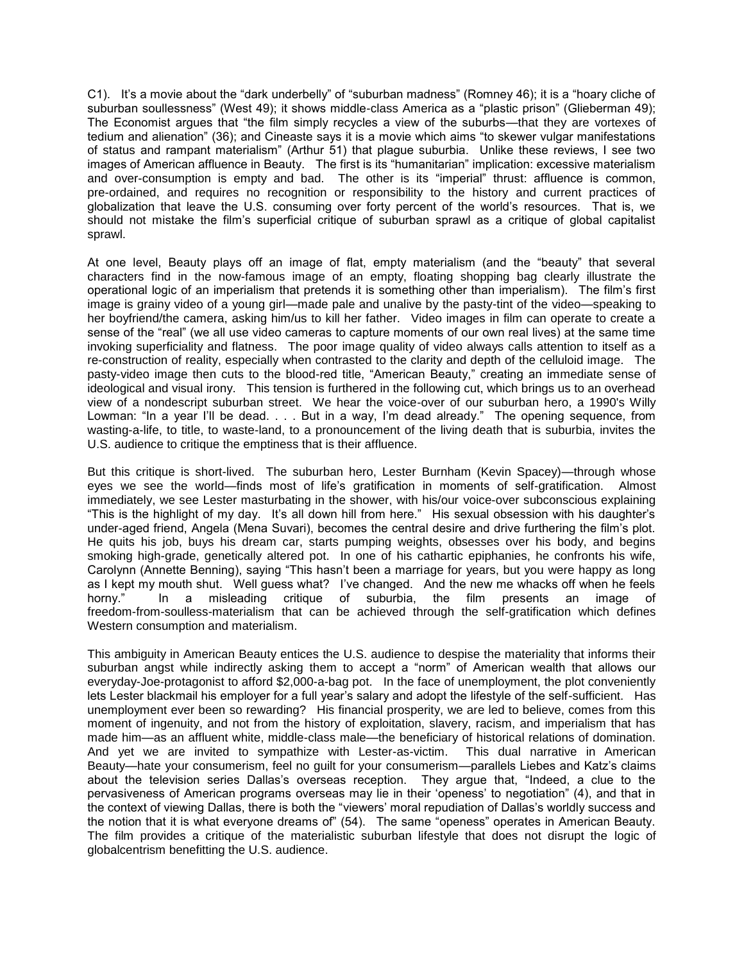C1). It's a movie about the "dark underbelly" of "suburban madness" (Romney 46); it is a "hoary cliche of suburban soullessness" (West 49); it shows middle-class America as a "plastic prison" (Glieberman 49); The Economist argues that "the film simply recycles a view of the suburbs—that they are vortexes of tedium and alienation" (36); and Cineaste says it is a movie which aims "to skewer vulgar manifestations of status and rampant materialism" (Arthur 51) that plague suburbia. Unlike these reviews, I see two images of American affluence in Beauty. The first is its "humanitarian" implication: excessive materialism and over-consumption is empty and bad. The other is its "imperial" thrust: affluence is common, pre-ordained, and requires no recognition or responsibility to the history and current practices of globalization that leave the U.S. consuming over forty percent of the world's resources. That is, we should not mistake the film's superficial critique of suburban sprawl as a critique of global capitalist sprawl.

At one level, Beauty plays off an image of flat, empty materialism (and the "beauty" that several characters find in the now-famous image of an empty, floating shopping bag clearly illustrate the operational logic of an imperialism that pretends it is something other than imperialism). The film's first image is grainy video of a young girl—made pale and unalive by the pasty-tint of the video—speaking to her boyfriend/the camera, asking him/us to kill her father. Video images in film can operate to create a sense of the "real" (we all use video cameras to capture moments of our own real lives) at the same time invoking superficiality and flatness. The poor image quality of video always calls attention to itself as a re-construction of reality, especially when contrasted to the clarity and depth of the celluloid image. The pasty-video image then cuts to the blood-red title, "American Beauty," creating an immediate sense of ideological and visual irony. This tension is furthered in the following cut, which brings us to an overhead view of a nondescript suburban street. We hear the voice-over of our suburban hero, a 1990's Willy Lowman: "In a year I'll be dead. . . . But in a way, I'm dead already." The opening sequence, from wasting-a-life, to title, to waste-land, to a pronouncement of the living death that is suburbia, invites the U.S. audience to critique the emptiness that is their affluence.

But this critique is short-lived. The suburban hero, Lester Burnham (Kevin Spacey)—through whose eyes we see the world—finds most of life's gratification in moments of self-gratification. Almost immediately, we see Lester masturbating in the shower, with his/our voice-over subconscious explaining "This is the highlight of my day. It's all down hill from here." His sexual obsession with his daughter's under-aged friend, Angela (Mena Suvari), becomes the central desire and drive furthering the film's plot. He quits his job, buys his dream car, starts pumping weights, obsesses over his body, and begins smoking high-grade, genetically altered pot. In one of his cathartic epiphanies, he confronts his wife, Carolynn (Annette Benning), saying "This hasn't been a marriage for years, but you were happy as long as I kept my mouth shut. Well guess what? I've changed. And the new me whacks off when he feels horny." In a misleading critique of suburbia, the film presents an image of freedom-from-soulless-materialism that can be achieved through the self-gratification which defines Western consumption and materialism.

This ambiguity in American Beauty entices the U.S. audience to despise the materiality that informs their suburban angst while indirectly asking them to accept a "norm" of American wealth that allows our everyday-Joe-protagonist to afford \$2,000-a-bag pot. In the face of unemployment, the plot conveniently lets Lester blackmail his employer for a full year's salary and adopt the lifestyle of the self-sufficient. Has unemployment ever been so rewarding? His financial prosperity, we are led to believe, comes from this moment of ingenuity, and not from the history of exploitation, slavery, racism, and imperialism that has made him—as an affluent white, middle-class male—the beneficiary of historical relations of domination. And yet we are invited to sympathize with Lester-as-victim. This dual narrative in American Beauty—hate your consumerism, feel no guilt for your consumerism—parallels Liebes and Katz's claims about the television series Dallas's overseas reception. They argue that, "Indeed, a clue to the pervasiveness of American programs overseas may lie in their 'openess' to negotiation" (4), and that in the context of viewing Dallas, there is both the "viewers' moral repudiation of Dallas's worldly success and the notion that it is what everyone dreams of" (54). The same "openess" operates in American Beauty. The film provides a critique of the materialistic suburban lifestyle that does not disrupt the logic of globalcentrism benefitting the U.S. audience.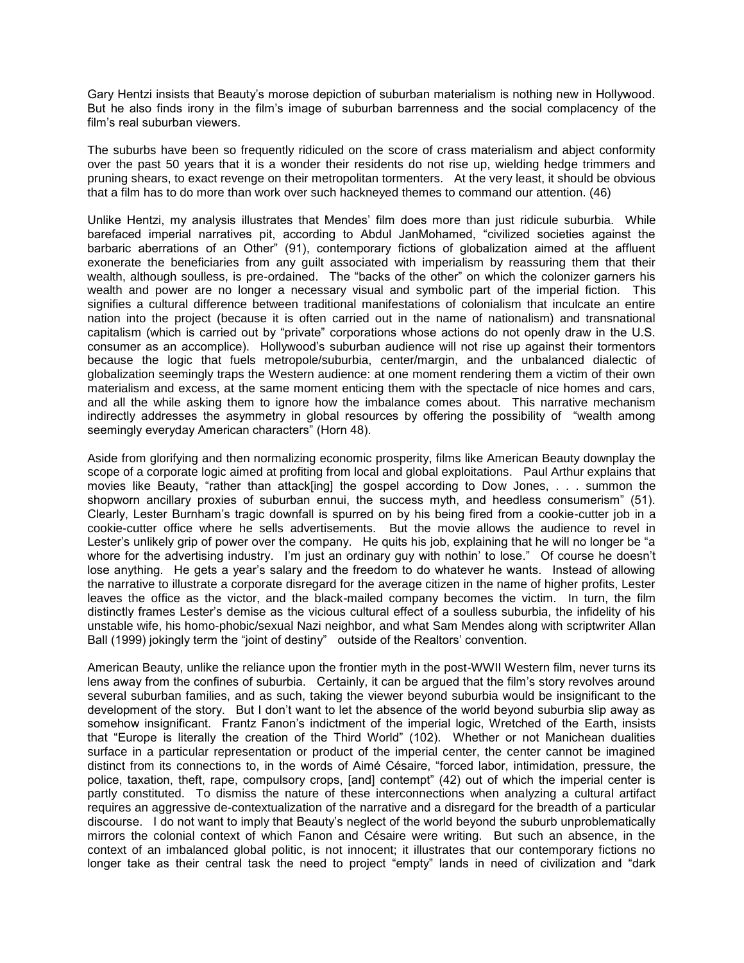Gary Hentzi insists that Beauty's morose depiction of suburban materialism is nothing new in Hollywood. But he also finds irony in the film's image of suburban barrenness and the social complacency of the film's real suburban viewers.

The suburbs have been so frequently ridiculed on the score of crass materialism and abject conformity over the past 50 years that it is a wonder their residents do not rise up, wielding hedge trimmers and pruning shears, to exact revenge on their metropolitan tormenters. At the very least, it should be obvious that a film has to do more than work over such hackneyed themes to command our attention. (46)

Unlike Hentzi, my analysis illustrates that Mendes' film does more than just ridicule suburbia. While barefaced imperial narratives pit, according to Abdul JanMohamed, "civilized societies against the barbaric aberrations of an Other" (91), contemporary fictions of globalization aimed at the affluent exonerate the beneficiaries from any guilt associated with imperialism by reassuring them that their wealth, although soulless, is pre-ordained. The "backs of the other" on which the colonizer garners his wealth and power are no longer a necessary visual and symbolic part of the imperial fiction. This signifies a cultural difference between traditional manifestations of colonialism that inculcate an entire nation into the project (because it is often carried out in the name of nationalism) and transnational capitalism (which is carried out by "private" corporations whose actions do not openly draw in the U.S. consumer as an accomplice). Hollywood's suburban audience will not rise up against their tormentors because the logic that fuels metropole/suburbia, center/margin, and the unbalanced dialectic of globalization seemingly traps the Western audience: at one moment rendering them a victim of their own materialism and excess, at the same moment enticing them with the spectacle of nice homes and cars, and all the while asking them to ignore how the imbalance comes about. This narrative mechanism indirectly addresses the asymmetry in global resources by offering the possibility of "wealth among seemingly everyday American characters" (Horn 48).

Aside from glorifying and then normalizing economic prosperity, films like American Beauty downplay the scope of a corporate logic aimed at profiting from local and global exploitations. Paul Arthur explains that movies like Beauty, "rather than attack[ing] the gospel according to Dow Jones, . . . summon the shopworn ancillary proxies of suburban ennui, the success myth, and heedless consumerism" (51). Clearly, Lester Burnham's tragic downfall is spurred on by his being fired from a cookie-cutter job in a cookie-cutter office where he sells advertisements. But the movie allows the audience to revel in Lester's unlikely grip of power over the company. He quits his job, explaining that he will no longer be "a whore for the advertising industry. I'm just an ordinary guy with nothin' to lose." Of course he doesn't lose anything. He gets a year's salary and the freedom to do whatever he wants. Instead of allowing the narrative to illustrate a corporate disregard for the average citizen in the name of higher profits, Lester leaves the office as the victor, and the black-mailed company becomes the victim. In turn, the film distinctly frames Lester's demise as the vicious cultural effect of a soulless suburbia, the infidelity of his unstable wife, his homo-phobic/sexual Nazi neighbor, and what Sam Mendes along with scriptwriter Allan Ball (1999) jokingly term the "joint of destiny" outside of the Realtors' convention.

American Beauty, unlike the reliance upon the frontier myth in the post-WWII Western film, never turns its lens away from the confines of suburbia. Certainly, it can be argued that the film's story revolves around several suburban families, and as such, taking the viewer beyond suburbia would be insignificant to the development of the story. But I don't want to let the absence of the world beyond suburbia slip away as somehow insignificant. Frantz Fanon's indictment of the imperial logic, Wretched of the Earth, insists that "Europe is literally the creation of the Third World" (102). Whether or not Manichean dualities surface in a particular representation or product of the imperial center, the center cannot be imagined distinct from its connections to, in the words of Aimé Césaire, "forced labor, intimidation, pressure, the police, taxation, theft, rape, compulsory crops, [and] contempt" (42) out of which the imperial center is partly constituted. To dismiss the nature of these interconnections when analyzing a cultural artifact requires an aggressive de-contextualization of the narrative and a disregard for the breadth of a particular discourse. I do not want to imply that Beauty's neglect of the world beyond the suburb unproblematically mirrors the colonial context of which Fanon and Césaire were writing. But such an absence, in the context of an imbalanced global politic, is not innocent; it illustrates that our contemporary fictions no longer take as their central task the need to project "empty" lands in need of civilization and "dark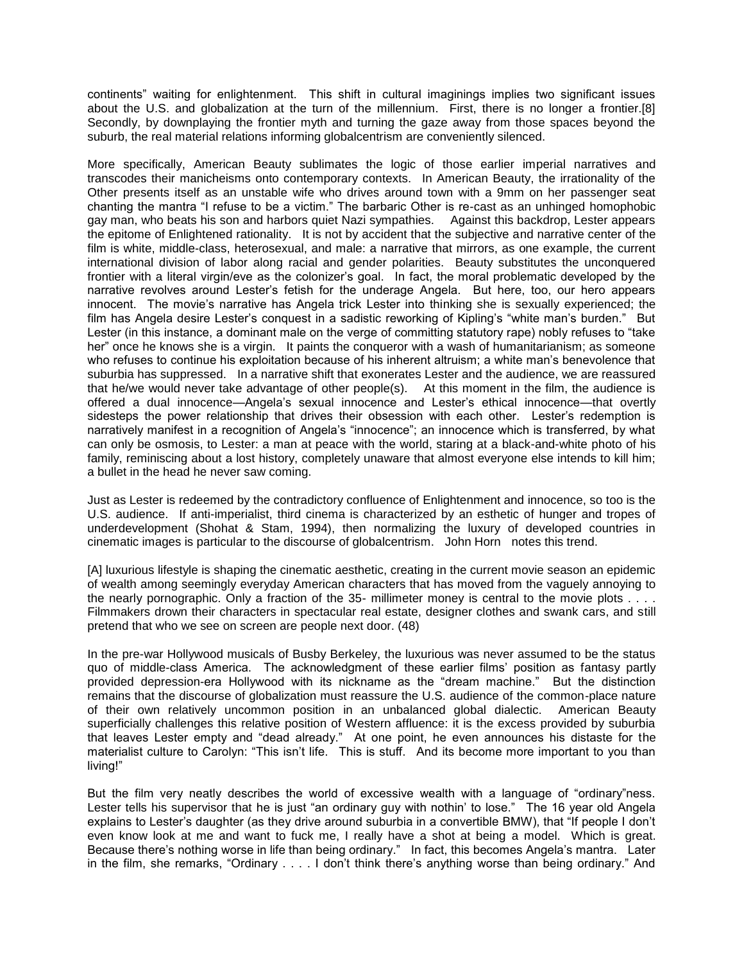continents" waiting for enlightenment. This shift in cultural imaginings implies two significant issues about the U.S. and globalization at the turn of the millennium. First, there is no longer a frontier.[8] Secondly, by downplaying the frontier myth and turning the gaze away from those spaces beyond the suburb, the real material relations informing globalcentrism are conveniently silenced.

More specifically, American Beauty sublimates the logic of those earlier imperial narratives and transcodes their manicheisms onto contemporary contexts. In American Beauty, the irrationality of the Other presents itself as an unstable wife who drives around town with a 9mm on her passenger seat chanting the mantra "I refuse to be a victim." The barbaric Other is re-cast as an unhinged homophobic gay man, who beats his son and harbors quiet Nazi sympathies. Against this backdrop, Lester appears the epitome of Enlightened rationality. It is not by accident that the subjective and narrative center of the film is white, middle-class, heterosexual, and male: a narrative that mirrors, as one example, the current international division of labor along racial and gender polarities. Beauty substitutes the unconquered frontier with a literal virgin/eve as the colonizer's goal. In fact, the moral problematic developed by the narrative revolves around Lester's fetish for the underage Angela. But here, too, our hero appears innocent. The movie's narrative has Angela trick Lester into thinking she is sexually experienced; the film has Angela desire Lester's conquest in a sadistic reworking of Kipling's "white man's burden." But Lester (in this instance, a dominant male on the verge of committing statutory rape) nobly refuses to "take her" once he knows she is a virgin. It paints the conqueror with a wash of humanitarianism; as someone who refuses to continue his exploitation because of his inherent altruism; a white man's benevolence that suburbia has suppressed. In a narrative shift that exonerates Lester and the audience, we are reassured that he/we would never take advantage of other people(s). At this moment in the film, the audience is offered a dual innocence—Angela's sexual innocence and Lester's ethical innocence—that overtly sidesteps the power relationship that drives their obsession with each other. Lester's redemption is narratively manifest in a recognition of Angela's "innocence"; an innocence which is transferred, by what can only be osmosis, to Lester: a man at peace with the world, staring at a black-and-white photo of his family, reminiscing about a lost history, completely unaware that almost everyone else intends to kill him; a bullet in the head he never saw coming.

Just as Lester is redeemed by the contradictory confluence of Enlightenment and innocence, so too is the U.S. audience. If anti-imperialist, third cinema is characterized by an esthetic of hunger and tropes of underdevelopment (Shohat & Stam, 1994), then normalizing the luxury of developed countries in cinematic images is particular to the discourse of globalcentrism. John Horn notes this trend.

[A] luxurious lifestyle is shaping the cinematic aesthetic, creating in the current movie season an epidemic of wealth among seemingly everyday American characters that has moved from the vaguely annoying to the nearly pornographic. Only a fraction of the 35- millimeter money is central to the movie plots . . . . Filmmakers drown their characters in spectacular real estate, designer clothes and swank cars, and still pretend that who we see on screen are people next door. (48)

In the pre-war Hollywood musicals of Busby Berkeley, the luxurious was never assumed to be the status quo of middle-class America. The acknowledgment of these earlier films' position as fantasy partly provided depression-era Hollywood with its nickname as the "dream machine." But the distinction remains that the discourse of globalization must reassure the U.S. audience of the common-place nature of their own relatively uncommon position in an unbalanced global dialectic. American Beauty superficially challenges this relative position of Western affluence: it is the excess provided by suburbia that leaves Lester empty and "dead already." At one point, he even announces his distaste for the materialist culture to Carolyn: "This isn't life. This is stuff. And its become more important to you than living!"

But the film very neatly describes the world of excessive wealth with a language of "ordinary"ness. Lester tells his supervisor that he is just "an ordinary guy with nothin' to lose." The 16 year old Angela explains to Lester's daughter (as they drive around suburbia in a convertible BMW), that "If people I don't even know look at me and want to fuck me, I really have a shot at being a model. Which is great. Because there's nothing worse in life than being ordinary." In fact, this becomes Angela's mantra. Later in the film, she remarks, "Ordinary . . . . I don't think there's anything worse than being ordinary." And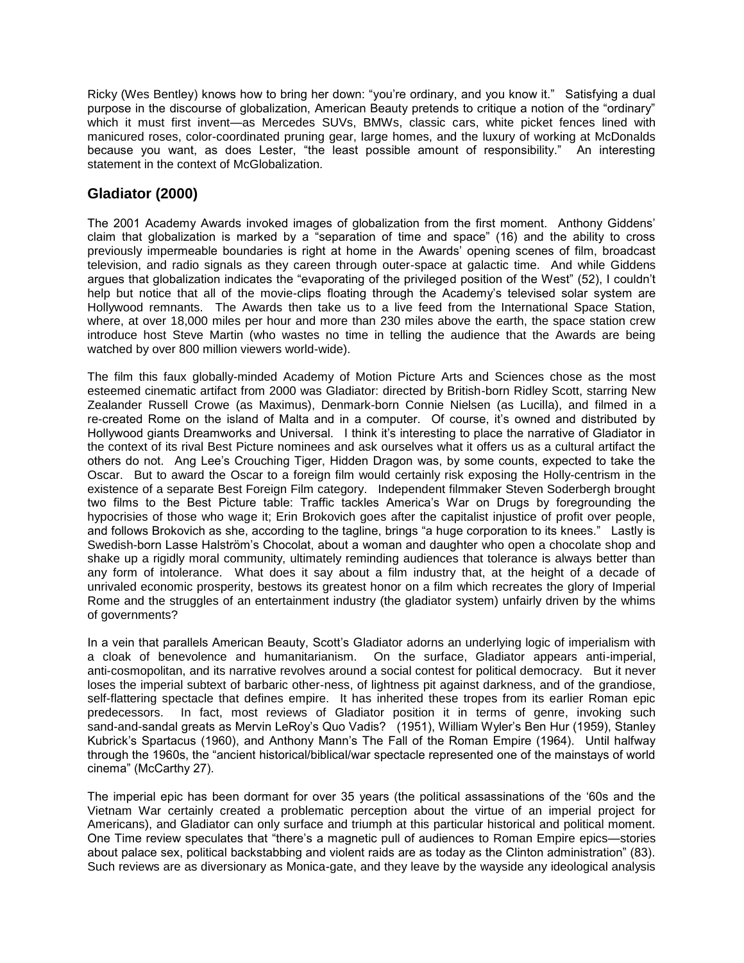Ricky (Wes Bentley) knows how to bring her down: "you're ordinary, and you know it." Satisfying a dual purpose in the discourse of globalization, American Beauty pretends to critique a notion of the "ordinary" which it must first invent—as Mercedes SUVs, BMWs, classic cars, white picket fences lined with manicured roses, color-coordinated pruning gear, large homes, and the luxury of working at McDonalds because you want, as does Lester, "the least possible amount of responsibility." An interesting statement in the context of McGlobalization.

## **Gladiator (2000)**

The 2001 Academy Awards invoked images of globalization from the first moment. Anthony Giddens' claim that globalization is marked by a "separation of time and space" (16) and the ability to cross previously impermeable boundaries is right at home in the Awards' opening scenes of film, broadcast television, and radio signals as they careen through outer-space at galactic time. And while Giddens argues that globalization indicates the "evaporating of the privileged position of the West" (52), I couldn't help but notice that all of the movie-clips floating through the Academy's televised solar system are Hollywood remnants. The Awards then take us to a live feed from the International Space Station, where, at over 18,000 miles per hour and more than 230 miles above the earth, the space station crew introduce host Steve Martin (who wastes no time in telling the audience that the Awards are being watched by over 800 million viewers world-wide).

The film this faux globally-minded Academy of Motion Picture Arts and Sciences chose as the most esteemed cinematic artifact from 2000 was Gladiator: directed by British-born Ridley Scott, starring New Zealander Russell Crowe (as Maximus), Denmark-born Connie Nielsen (as Lucilla), and filmed in a re-created Rome on the island of Malta and in a computer. Of course, it's owned and distributed by Hollywood giants Dreamworks and Universal. I think it's interesting to place the narrative of Gladiator in the context of its rival Best Picture nominees and ask ourselves what it offers us as a cultural artifact the others do not. Ang Lee's Crouching Tiger, Hidden Dragon was, by some counts, expected to take the Oscar. But to award the Oscar to a foreign film would certainly risk exposing the Holly-centrism in the existence of a separate Best Foreign Film category. Independent filmmaker Steven Soderbergh brought two films to the Best Picture table: Traffic tackles America's War on Drugs by foregrounding the hypocrisies of those who wage it; Erin Brokovich goes after the capitalist injustice of profit over people, and follows Brokovich as she, according to the tagline, brings "a huge corporation to its knees." Lastly is Swedish-born Lasse Halström's Chocolat, about a woman and daughter who open a chocolate shop and shake up a rigidly moral community, ultimately reminding audiences that tolerance is always better than any form of intolerance. What does it say about a film industry that, at the height of a decade of unrivaled economic prosperity, bestows its greatest honor on a film which recreates the glory of Imperial Rome and the struggles of an entertainment industry (the gladiator system) unfairly driven by the whims of governments?

In a vein that parallels American Beauty, Scott's Gladiator adorns an underlying logic of imperialism with a cloak of benevolence and humanitarianism. On the surface, Gladiator appears anti-imperial, anti-cosmopolitan, and its narrative revolves around a social contest for political democracy. But it never loses the imperial subtext of barbaric other-ness, of lightness pit against darkness, and of the grandiose, self-flattering spectacle that defines empire. It has inherited these tropes from its earlier Roman epic predecessors. In fact, most reviews of Gladiator position it in terms of genre, invoking such sand-and-sandal greats as Mervin LeRoy's Quo Vadis? (1951), William Wyler's Ben Hur (1959), Stanley Kubrick's Spartacus (1960), and Anthony Mann's The Fall of the Roman Empire (1964). Until halfway through the 1960s, the "ancient historical/biblical/war spectacle represented one of the mainstays of world cinema" (McCarthy 27).

The imperial epic has been dormant for over 35 years (the political assassinations of the '60s and the Vietnam War certainly created a problematic perception about the virtue of an imperial project for Americans), and Gladiator can only surface and triumph at this particular historical and political moment. One Time review speculates that "there's a magnetic pull of audiences to Roman Empire epics—stories about palace sex, political backstabbing and violent raids are as today as the Clinton administration" (83). Such reviews are as diversionary as Monica-gate, and they leave by the wayside any ideological analysis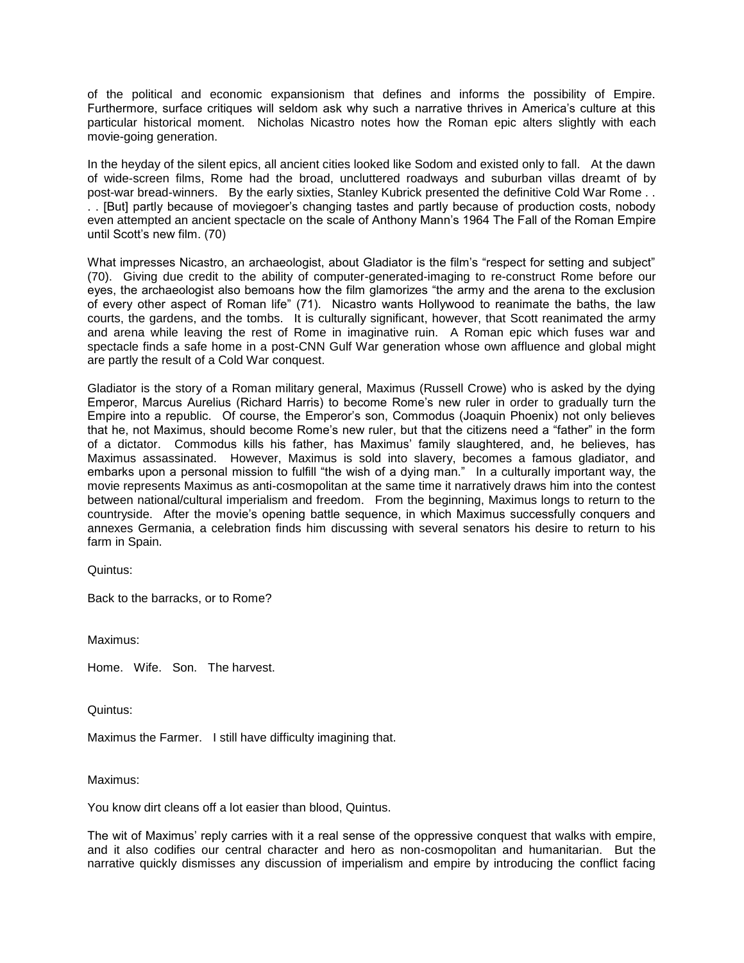of the political and economic expansionism that defines and informs the possibility of Empire. Furthermore, surface critiques will seldom ask why such a narrative thrives in America's culture at this particular historical moment. Nicholas Nicastro notes how the Roman epic alters slightly with each movie-going generation.

In the heyday of the silent epics, all ancient cities looked like Sodom and existed only to fall. At the dawn of wide-screen films, Rome had the broad, uncluttered roadways and suburban villas dreamt of by post-war bread-winners. By the early sixties, Stanley Kubrick presented the definitive Cold War Rome . . . . [But] partly because of moviegoer's changing tastes and partly because of production costs, nobody even attempted an ancient spectacle on the scale of Anthony Mann's 1964 The Fall of the Roman Empire until Scott's new film. (70)

What impresses Nicastro, an archaeologist, about Gladiator is the film's "respect for setting and subject" (70). Giving due credit to the ability of computer-generated-imaging to re-construct Rome before our eyes, the archaeologist also bemoans how the film glamorizes "the army and the arena to the exclusion of every other aspect of Roman life" (71). Nicastro wants Hollywood to reanimate the baths, the law courts, the gardens, and the tombs. It is culturally significant, however, that Scott reanimated the army and arena while leaving the rest of Rome in imaginative ruin. A Roman epic which fuses war and spectacle finds a safe home in a post-CNN Gulf War generation whose own affluence and global might are partly the result of a Cold War conquest.

Gladiator is the story of a Roman military general, Maximus (Russell Crowe) who is asked by the dying Emperor, Marcus Aurelius (Richard Harris) to become Rome's new ruler in order to gradually turn the Empire into a republic. Of course, the Emperor's son, Commodus (Joaquin Phoenix) not only believes that he, not Maximus, should become Rome's new ruler, but that the citizens need a "father" in the form of a dictator. Commodus kills his father, has Maximus' family slaughtered, and, he believes, has Maximus assassinated. However, Maximus is sold into slavery, becomes a famous gladiator, and embarks upon a personal mission to fulfill "the wish of a dying man." In a culturally important way, the movie represents Maximus as anti-cosmopolitan at the same time it narratively draws him into the contest between national/cultural imperialism and freedom. From the beginning, Maximus longs to return to the countryside. After the movie's opening battle sequence, in which Maximus successfully conquers and annexes Germania, a celebration finds him discussing with several senators his desire to return to his farm in Spain.

Quintus:

Back to the barracks, or to Rome?

Maximus:

Home. Wife. Son. The harvest.

Quintus:

Maximus the Farmer. I still have difficulty imagining that.

Maximus:

You know dirt cleans off a lot easier than blood, Quintus.

The wit of Maximus' reply carries with it a real sense of the oppressive conquest that walks with empire, and it also codifies our central character and hero as non-cosmopolitan and humanitarian. But the narrative quickly dismisses any discussion of imperialism and empire by introducing the conflict facing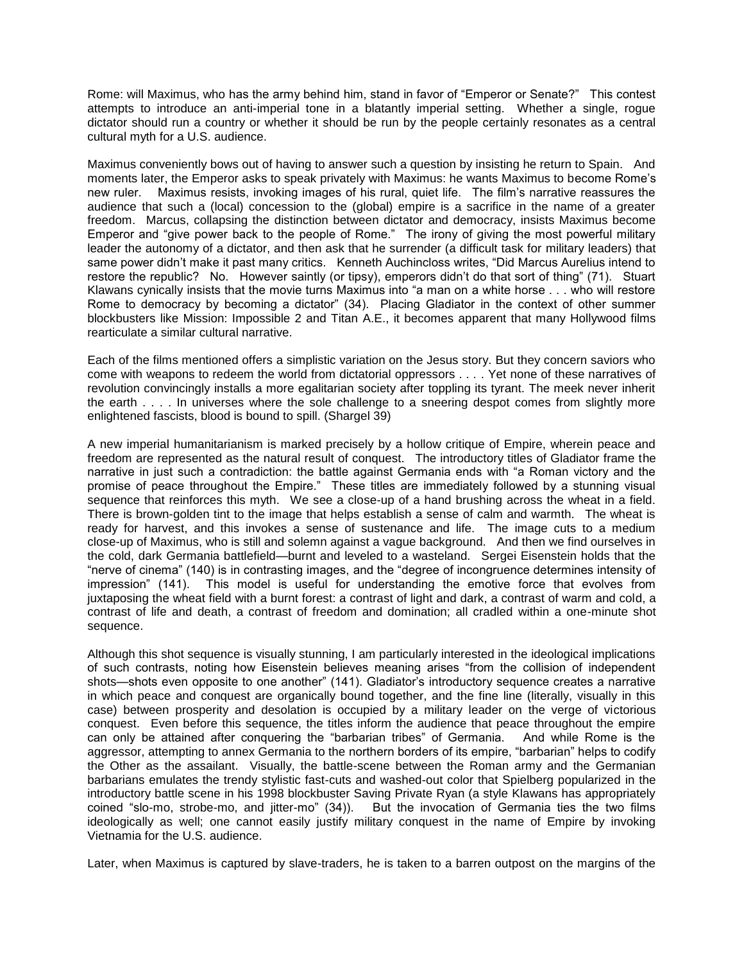Rome: will Maximus, who has the army behind him, stand in favor of "Emperor or Senate?" This contest attempts to introduce an anti-imperial tone in a blatantly imperial setting. Whether a single, rogue dictator should run a country or whether it should be run by the people certainly resonates as a central cultural myth for a U.S. audience.

Maximus conveniently bows out of having to answer such a question by insisting he return to Spain. And moments later, the Emperor asks to speak privately with Maximus: he wants Maximus to become Rome's new ruler. Maximus resists, invoking images of his rural, quiet life. The film's narrative reassures the audience that such a (local) concession to the (global) empire is a sacrifice in the name of a greater freedom. Marcus, collapsing the distinction between dictator and democracy, insists Maximus become Emperor and "give power back to the people of Rome." The irony of giving the most powerful military leader the autonomy of a dictator, and then ask that he surrender (a difficult task for military leaders) that same power didn't make it past many critics. Kenneth Auchincloss writes, "Did Marcus Aurelius intend to restore the republic? No. However saintly (or tipsy), emperors didn't do that sort of thing" (71). Stuart Klawans cynically insists that the movie turns Maximus into "a man on a white horse . . . who will restore Rome to democracy by becoming a dictator" (34). Placing Gladiator in the context of other summer blockbusters like Mission: Impossible 2 and Titan A.E., it becomes apparent that many Hollywood films rearticulate a similar cultural narrative.

Each of the films mentioned offers a simplistic variation on the Jesus story. But they concern saviors who come with weapons to redeem the world from dictatorial oppressors . . . . Yet none of these narratives of revolution convincingly installs a more egalitarian society after toppling its tyrant. The meek never inherit the earth . . . . In universes where the sole challenge to a sneering despot comes from slightly more enlightened fascists, blood is bound to spill. (Shargel 39)

A new imperial humanitarianism is marked precisely by a hollow critique of Empire, wherein peace and freedom are represented as the natural result of conquest. The introductory titles of Gladiator frame the narrative in just such a contradiction: the battle against Germania ends with "a Roman victory and the promise of peace throughout the Empire." These titles are immediately followed by a stunning visual sequence that reinforces this myth. We see a close-up of a hand brushing across the wheat in a field. There is brown-golden tint to the image that helps establish a sense of calm and warmth. The wheat is ready for harvest, and this invokes a sense of sustenance and life. The image cuts to a medium close-up of Maximus, who is still and solemn against a vague background. And then we find ourselves in the cold, dark Germania battlefield—burnt and leveled to a wasteland. Sergei Eisenstein holds that the "nerve of cinema" (140) is in contrasting images, and the "degree of incongruence determines intensity of impression" (141). This model is useful for understanding the emotive force that evolves from juxtaposing the wheat field with a burnt forest: a contrast of light and dark, a contrast of warm and cold, a contrast of life and death, a contrast of freedom and domination; all cradled within a one-minute shot sequence.

Although this shot sequence is visually stunning, I am particularly interested in the ideological implications of such contrasts, noting how Eisenstein believes meaning arises "from the collision of independent shots—shots even opposite to one another" (141). Gladiator's introductory sequence creates a narrative in which peace and conquest are organically bound together, and the fine line (literally, visually in this case) between prosperity and desolation is occupied by a military leader on the verge of victorious conquest. Even before this sequence, the titles inform the audience that peace throughout the empire can only be attained after conquering the "barbarian tribes" of Germania. And while Rome is the aggressor, attempting to annex Germania to the northern borders of its empire, "barbarian" helps to codify the Other as the assailant. Visually, the battle-scene between the Roman army and the Germanian barbarians emulates the trendy stylistic fast-cuts and washed-out color that Spielberg popularized in the introductory battle scene in his 1998 blockbuster Saving Private Ryan (a style Klawans has appropriately coined "slo-mo, strobe-mo, and jitter-mo" (34)). But the invocation of Germania ties the two films ideologically as well; one cannot easily justify military conquest in the name of Empire by invoking Vietnamia for the U.S. audience.

Later, when Maximus is captured by slave-traders, he is taken to a barren outpost on the margins of the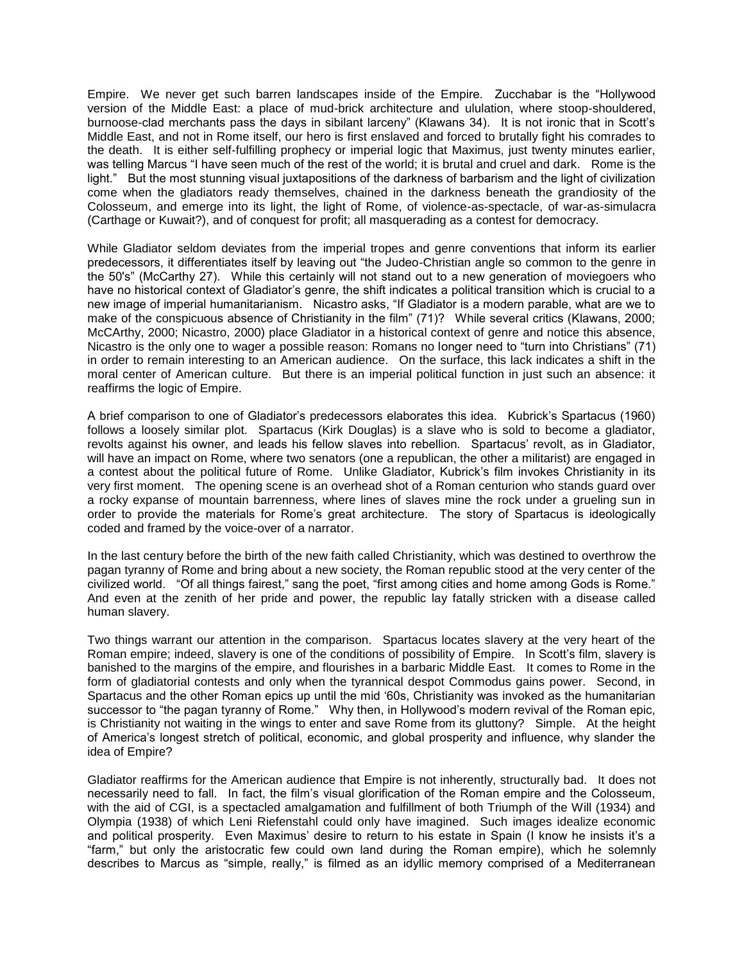Empire. We never get such barren landscapes inside of the Empire. Zucchabar is the "Hollywood version of the Middle East: a place of mud-brick architecture and ululation, where stoop-shouldered, burnoose-clad merchants pass the days in sibilant larceny" (Klawans 34). It is not ironic that in Scott's Middle East, and not in Rome itself, our hero is first enslaved and forced to brutally fight his comrades to the death. It is either self-fulfilling prophecy or imperial logic that Maximus, just twenty minutes earlier, was telling Marcus "I have seen much of the rest of the world; it is brutal and cruel and dark. Rome is the light." But the most stunning visual juxtapositions of the darkness of barbarism and the light of civilization come when the gladiators ready themselves, chained in the darkness beneath the grandiosity of the Colosseum, and emerge into its light, the light of Rome, of violence-as-spectacle, of war-as-simulacra (Carthage or Kuwait?), and of conquest for profit; all masquerading as a contest for democracy.

While Gladiator seldom deviates from the imperial tropes and genre conventions that inform its earlier predecessors, it differentiates itself by leaving out "the Judeo-Christian angle so common to the genre in the 50's" (McCarthy 27). While this certainly will not stand out to a new generation of moviegoers who have no historical context of Gladiator's genre, the shift indicates a political transition which is crucial to a new image of imperial humanitarianism. Nicastro asks, "If Gladiator is a modern parable, what are we to make of the conspicuous absence of Christianity in the film" (71)? While several critics (Klawans, 2000; McCArthy, 2000; Nicastro, 2000) place Gladiator in a historical context of genre and notice this absence, Nicastro is the only one to wager a possible reason: Romans no longer need to "turn into Christians" (71) in order to remain interesting to an American audience. On the surface, this lack indicates a shift in the moral center of American culture. But there is an imperial political function in just such an absence: it reaffirms the logic of Empire.

A brief comparison to one of Gladiator's predecessors elaborates this idea. Kubrick's Spartacus (1960) follows a loosely similar plot. Spartacus (Kirk Douglas) is a slave who is sold to become a gladiator, revolts against his owner, and leads his fellow slaves into rebellion. Spartacus' revolt, as in Gladiator, will have an impact on Rome, where two senators (one a republican, the other a militarist) are engaged in a contest about the political future of Rome. Unlike Gladiator, Kubrick's film invokes Christianity in its very first moment. The opening scene is an overhead shot of a Roman centurion who stands guard over a rocky expanse of mountain barrenness, where lines of slaves mine the rock under a grueling sun in order to provide the materials for Rome's great architecture. The story of Spartacus is ideologically coded and framed by the voice-over of a narrator.

In the last century before the birth of the new faith called Christianity, which was destined to overthrow the pagan tyranny of Rome and bring about a new society, the Roman republic stood at the very center of the civilized world. "Of all things fairest," sang the poet, "first among cities and home among Gods is Rome." And even at the zenith of her pride and power, the republic lay fatally stricken with a disease called human slavery.

Two things warrant our attention in the comparison. Spartacus locates slavery at the very heart of the Roman empire; indeed, slavery is one of the conditions of possibility of Empire. In Scott's film, slavery is banished to the margins of the empire, and flourishes in a barbaric Middle East. It comes to Rome in the form of gladiatorial contests and only when the tyrannical despot Commodus gains power. Second, in Spartacus and the other Roman epics up until the mid '60s, Christianity was invoked as the humanitarian successor to "the pagan tyranny of Rome." Why then, in Hollywood's modern revival of the Roman epic, is Christianity not waiting in the wings to enter and save Rome from its gluttony? Simple. At the height of America's longest stretch of political, economic, and global prosperity and influence, why slander the idea of Empire?

Gladiator reaffirms for the American audience that Empire is not inherently, structurally bad. It does not necessarily need to fall. In fact, the film's visual glorification of the Roman empire and the Colosseum, with the aid of CGI, is a spectacled amalgamation and fulfillment of both Triumph of the Will (1934) and Olympia (1938) of which Leni Riefenstahl could only have imagined. Such images idealize economic and political prosperity. Even Maximus' desire to return to his estate in Spain (I know he insists it's a "farm," but only the aristocratic few could own land during the Roman empire), which he solemnly describes to Marcus as "simple, really," is filmed as an idyllic memory comprised of a Mediterranean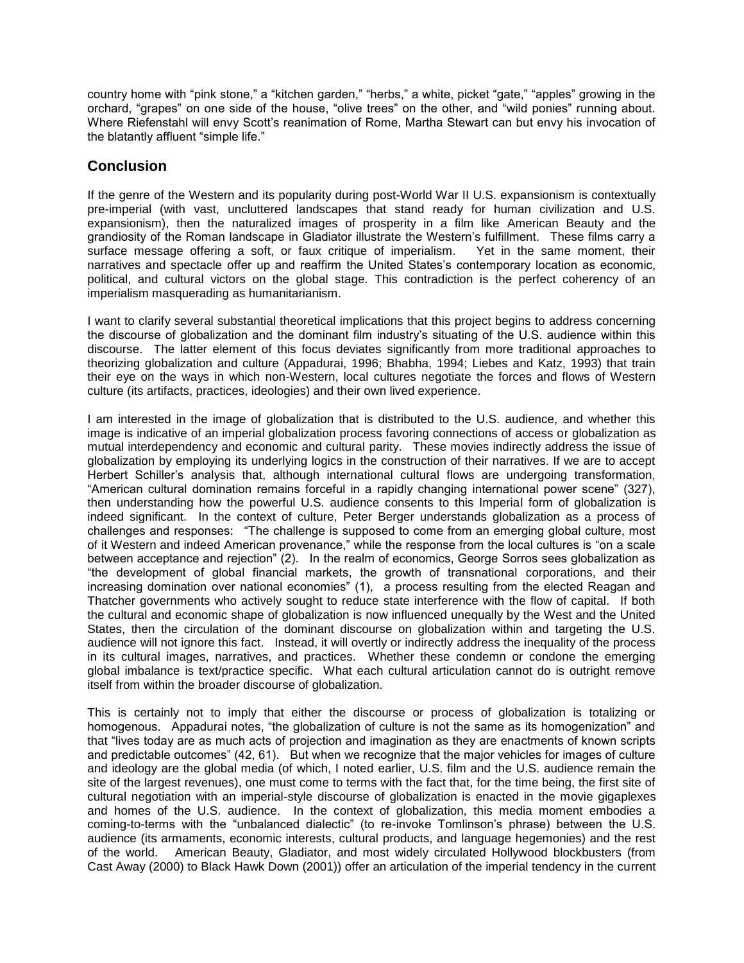country home with "pink stone," a "kitchen garden," "herbs," a white, picket "gate," "apples" growing in the orchard, "grapes" on one side of the house, "olive trees" on the other, and "wild ponies" running about. Where Riefenstahl will envy Scott's reanimation of Rome, Martha Stewart can but envy his invocation of the blatantly affluent "simple life."

### **Conclusion**

If the genre of the Western and its popularity during post-World War II U.S. expansionism is contextually pre-imperial (with vast, uncluttered landscapes that stand ready for human civilization and U.S. expansionism), then the naturalized images of prosperity in a film like American Beauty and the grandiosity of the Roman landscape in Gladiator illustrate the Western's fulfillment. These films carry a surface message offering a soft, or faux critique of imperialism. Yet in the same moment, their narratives and spectacle offer up and reaffirm the United States's contemporary location as economic, political, and cultural victors on the global stage. This contradiction is the perfect coherency of an imperialism masquerading as humanitarianism.

I want to clarify several substantial theoretical implications that this project begins to address concerning the discourse of globalization and the dominant film industry's situating of the U.S. audience within this discourse. The latter element of this focus deviates significantly from more traditional approaches to theorizing globalization and culture (Appadurai, 1996; Bhabha, 1994; Liebes and Katz, 1993) that train their eye on the ways in which non-Western, local cultures negotiate the forces and flows of Western culture (its artifacts, practices, ideologies) and their own lived experience.

I am interested in the image of globalization that is distributed to the U.S. audience, and whether this image is indicative of an imperial globalization process favoring connections of access or globalization as mutual interdependency and economic and cultural parity. These movies indirectly address the issue of globalization by employing its underlying logics in the construction of their narratives. If we are to accept Herbert Schiller's analysis that, although international cultural flows are undergoing transformation, "American cultural domination remains forceful in a rapidly changing international power scene" (327), then understanding how the powerful U.S. audience consents to this Imperial form of globalization is indeed significant. In the context of culture, Peter Berger understands globalization as a process of challenges and responses: "The challenge is supposed to come from an emerging global culture, most of it Western and indeed American provenance," while the response from the local cultures is "on a scale between acceptance and rejection" (2). In the realm of economics, George Sorros sees globalization as "the development of global financial markets, the growth of transnational corporations, and their increasing domination over national economies" (1), a process resulting from the elected Reagan and Thatcher governments who actively sought to reduce state interference with the flow of capital. If both the cultural and economic shape of globalization is now influenced unequally by the West and the United States, then the circulation of the dominant discourse on globalization within and targeting the U.S. audience will not ignore this fact. Instead, it will overtly or indirectly address the inequality of the process in its cultural images, narratives, and practices. Whether these condemn or condone the emerging global imbalance is text/practice specific. What each cultural articulation cannot do is outright remove itself from within the broader discourse of globalization.

This is certainly not to imply that either the discourse or process of globalization is totalizing or homogenous. Appadurai notes, "the globalization of culture is not the same as its homogenization" and that "lives today are as much acts of projection and imagination as they are enactments of known scripts and predictable outcomes" (42, 61). But when we recognize that the major vehicles for images of culture and ideology are the global media (of which, I noted earlier, U.S. film and the U.S. audience remain the site of the largest revenues), one must come to terms with the fact that, for the time being, the first site of cultural negotiation with an imperial-style discourse of globalization is enacted in the movie gigaplexes and homes of the U.S. audience. In the context of globalization, this media moment embodies a coming-to-terms with the "unbalanced dialectic" (to re-invoke Tomlinson's phrase) between the U.S. audience (its armaments, economic interests, cultural products, and language hegemonies) and the rest of the world. American Beauty, Gladiator, and most widely circulated Hollywood blockbusters (from Cast Away (2000) to Black Hawk Down (2001)) offer an articulation of the imperial tendency in the current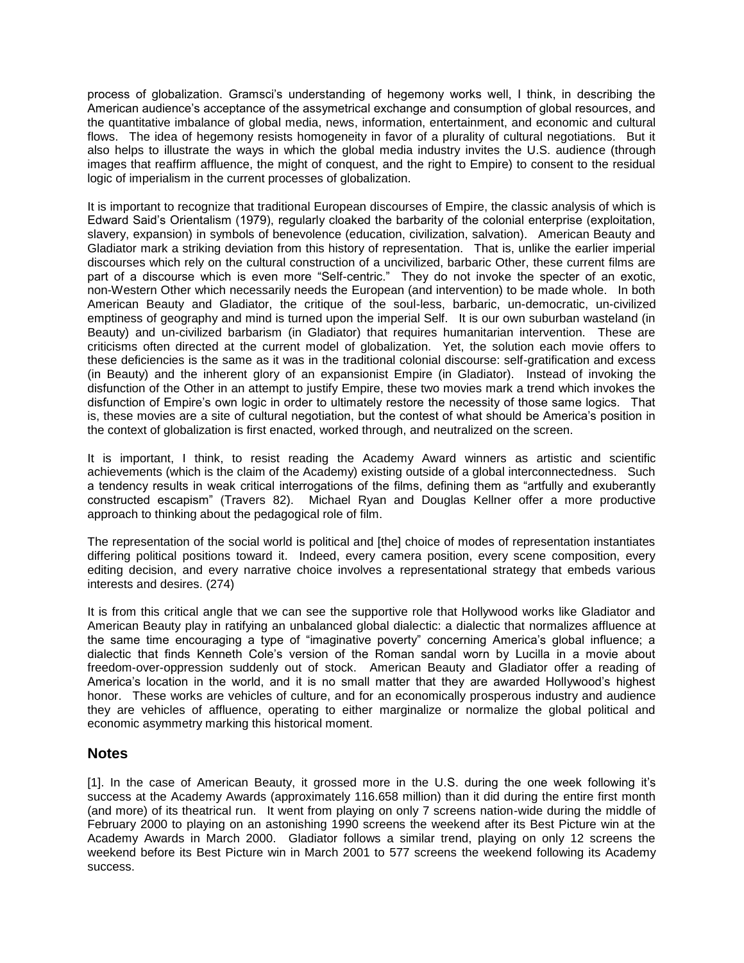process of globalization. Gramsci's understanding of hegemony works well, I think, in describing the American audience's acceptance of the assymetrical exchange and consumption of global resources, and the quantitative imbalance of global media, news, information, entertainment, and economic and cultural flows. The idea of hegemony resists homogeneity in favor of a plurality of cultural negotiations. But it also helps to illustrate the ways in which the global media industry invites the U.S. audience (through images that reaffirm affluence, the might of conquest, and the right to Empire) to consent to the residual logic of imperialism in the current processes of globalization.

It is important to recognize that traditional European discourses of Empire, the classic analysis of which is Edward Said's Orientalism (1979), regularly cloaked the barbarity of the colonial enterprise (exploitation, slavery, expansion) in symbols of benevolence (education, civilization, salvation). American Beauty and Gladiator mark a striking deviation from this history of representation. That is, unlike the earlier imperial discourses which rely on the cultural construction of a uncivilized, barbaric Other, these current films are part of a discourse which is even more "Self-centric." They do not invoke the specter of an exotic, non-Western Other which necessarily needs the European (and intervention) to be made whole. In both American Beauty and Gladiator, the critique of the soul-less, barbaric, un-democratic, un-civilized emptiness of geography and mind is turned upon the imperial Self. It is our own suburban wasteland (in Beauty) and un-civilized barbarism (in Gladiator) that requires humanitarian intervention. These are criticisms often directed at the current model of globalization. Yet, the solution each movie offers to these deficiencies is the same as it was in the traditional colonial discourse: self-gratification and excess (in Beauty) and the inherent glory of an expansionist Empire (in Gladiator). Instead of invoking the disfunction of the Other in an attempt to justify Empire, these two movies mark a trend which invokes the disfunction of Empire's own logic in order to ultimately restore the necessity of those same logics. That is, these movies are a site of cultural negotiation, but the contest of what should be America's position in the context of globalization is first enacted, worked through, and neutralized on the screen.

It is important, I think, to resist reading the Academy Award winners as artistic and scientific achievements (which is the claim of the Academy) existing outside of a global interconnectedness. Such a tendency results in weak critical interrogations of the films, defining them as "artfully and exuberantly constructed escapism" (Travers 82). Michael Ryan and Douglas Kellner offer a more productive approach to thinking about the pedagogical role of film.

The representation of the social world is political and [the] choice of modes of representation instantiates differing political positions toward it. Indeed, every camera position, every scene composition, every editing decision, and every narrative choice involves a representational strategy that embeds various interests and desires. (274)

It is from this critical angle that we can see the supportive role that Hollywood works like Gladiator and American Beauty play in ratifying an unbalanced global dialectic: a dialectic that normalizes affluence at the same time encouraging a type of "imaginative poverty" concerning America's global influence; a dialectic that finds Kenneth Cole's version of the Roman sandal worn by Lucilla in a movie about freedom-over-oppression suddenly out of stock. American Beauty and Gladiator offer a reading of America's location in the world, and it is no small matter that they are awarded Hollywood's highest honor. These works are vehicles of culture, and for an economically prosperous industry and audience they are vehicles of affluence, operating to either marginalize or normalize the global political and economic asymmetry marking this historical moment.

#### **Notes**

[1]. In the case of American Beauty, it grossed more in the U.S. during the one week following it's success at the Academy Awards (approximately 116.658 million) than it did during the entire first month (and more) of its theatrical run. It went from playing on only 7 screens nation-wide during the middle of February 2000 to playing on an astonishing 1990 screens the weekend after its Best Picture win at the Academy Awards in March 2000. Gladiator follows a similar trend, playing on only 12 screens the weekend before its Best Picture win in March 2001 to 577 screens the weekend following its Academy success.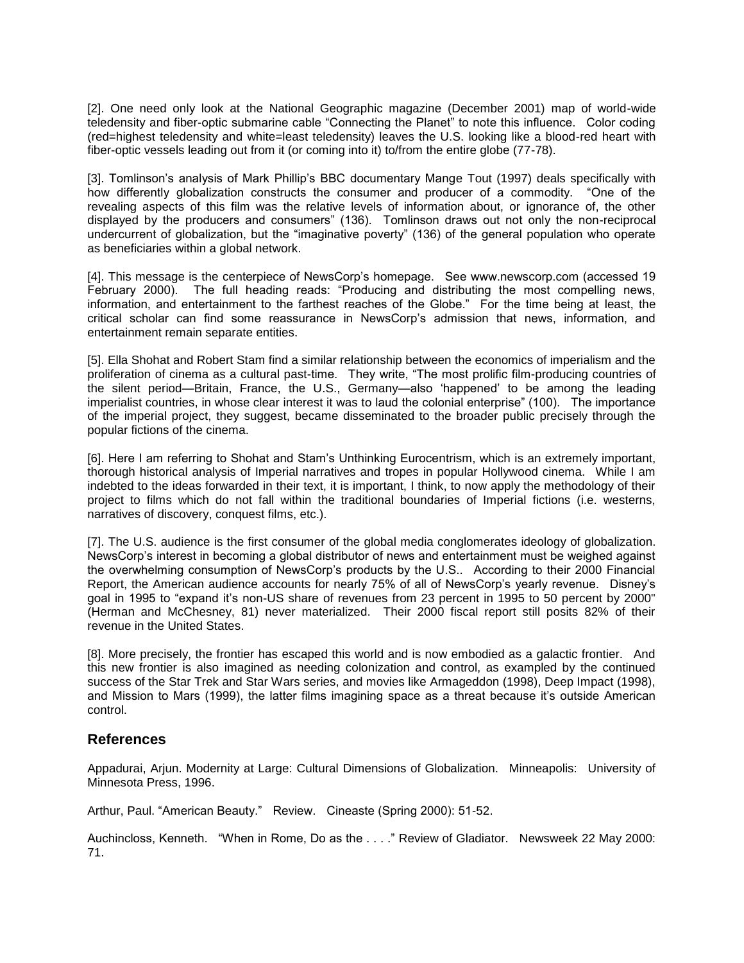[2]. One need only look at the National Geographic magazine (December 2001) map of world-wide teledensity and fiber-optic submarine cable "Connecting the Planet" to note this influence. Color coding (red=highest teledensity and white=least teledensity) leaves the U.S. looking like a blood-red heart with fiber-optic vessels leading out from it (or coming into it) to/from the entire globe (77-78).

[3]. Tomlinson's analysis of Mark Phillip's BBC documentary Mange Tout (1997) deals specifically with how differently globalization constructs the consumer and producer of a commodity. "One of the revealing aspects of this film was the relative levels of information about, or ignorance of, the other displayed by the producers and consumers" (136). Tomlinson draws out not only the non-reciprocal undercurrent of globalization, but the "imaginative poverty" (136) of the general population who operate as beneficiaries within a global network.

[4]. This message is the centerpiece of NewsCorp's homepage. See www.newscorp.com (accessed 19 February 2000). The full heading reads: "Producing and distributing the most compelling news, information, and entertainment to the farthest reaches of the Globe." For the time being at least, the critical scholar can find some reassurance in NewsCorp's admission that news, information, and entertainment remain separate entities.

[5]. Ella Shohat and Robert Stam find a similar relationship between the economics of imperialism and the proliferation of cinema as a cultural past-time. They write, "The most prolific film-producing countries of the silent period—Britain, France, the U.S., Germany—also 'happened' to be among the leading imperialist countries, in whose clear interest it was to laud the colonial enterprise" (100). The importance of the imperial project, they suggest, became disseminated to the broader public precisely through the popular fictions of the cinema.

[6]. Here I am referring to Shohat and Stam's Unthinking Eurocentrism, which is an extremely important, thorough historical analysis of Imperial narratives and tropes in popular Hollywood cinema. While I am indebted to the ideas forwarded in their text, it is important, I think, to now apply the methodology of their project to films which do not fall within the traditional boundaries of Imperial fictions (i.e. westerns, narratives of discovery, conquest films, etc.).

[7]. The U.S. audience is the first consumer of the global media conglomerates ideology of globalization. NewsCorp's interest in becoming a global distributor of news and entertainment must be weighed against the overwhelming consumption of NewsCorp's products by the U.S.. According to their 2000 Financial Report, the American audience accounts for nearly 75% of all of NewsCorp's yearly revenue. Disney's goal in 1995 to "expand it's non-US share of revenues from 23 percent in 1995 to 50 percent by 2000" (Herman and McChesney, 81) never materialized. Their 2000 fiscal report still posits 82% of their revenue in the United States.

[8]. More precisely, the frontier has escaped this world and is now embodied as a galactic frontier. And this new frontier is also imagined as needing colonization and control, as exampled by the continued success of the Star Trek and Star Wars series, and movies like Armageddon (1998), Deep Impact (1998), and Mission to Mars (1999), the latter films imagining space as a threat because it's outside American control.

#### **References**

Appadurai, Arjun. Modernity at Large: Cultural Dimensions of Globalization. Minneapolis: University of Minnesota Press, 1996.

Arthur, Paul. "American Beauty." Review. Cineaste (Spring 2000): 51-52.

Auchincloss, Kenneth. "When in Rome, Do as the . . . ." Review of Gladiator. Newsweek 22 May 2000: 71.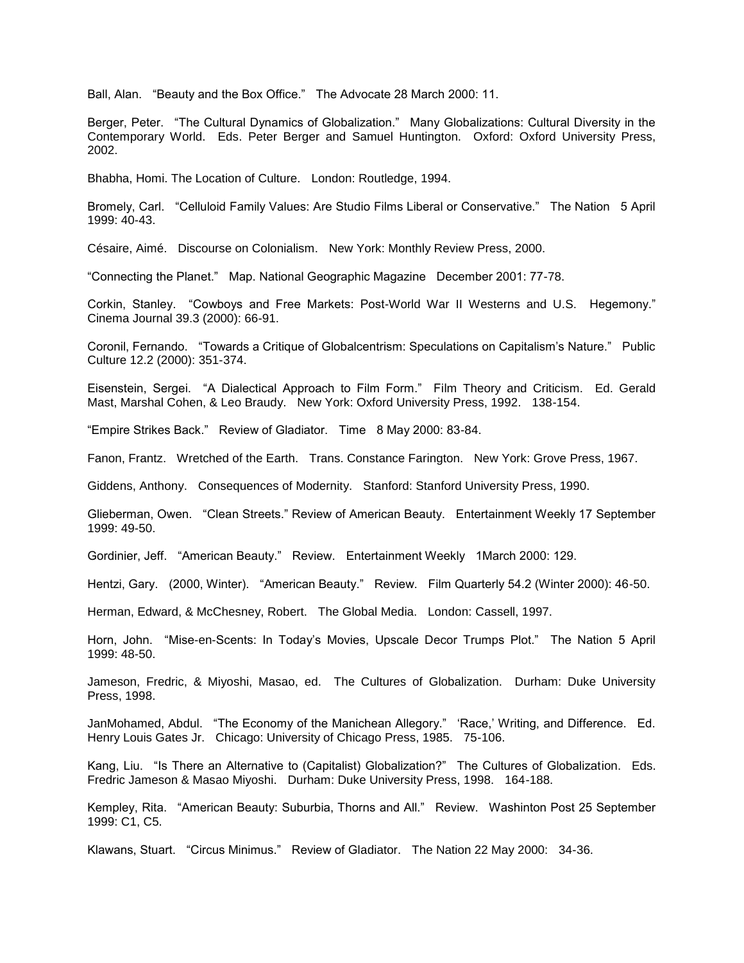Ball, Alan. "Beauty and the Box Office." The Advocate 28 March 2000: 11.

Berger, Peter. "The Cultural Dynamics of Globalization." Many Globalizations: Cultural Diversity in the Contemporary World. Eds. Peter Berger and Samuel Huntington. Oxford: Oxford University Press, 2002.

Bhabha, Homi. The Location of Culture. London: Routledge, 1994.

Bromely, Carl. "Celluloid Family Values: Are Studio Films Liberal or Conservative." The Nation 5 April 1999: 40-43.

Césaire, Aimé. Discourse on Colonialism. New York: Monthly Review Press, 2000.

"Connecting the Planet." Map. National Geographic Magazine December 2001: 77-78.

Corkin, Stanley. "Cowboys and Free Markets: Post-World War II Westerns and U.S. Hegemony." Cinema Journal 39.3 (2000): 66-91.

Coronil, Fernando. "Towards a Critique of Globalcentrism: Speculations on Capitalism's Nature." Public Culture 12.2 (2000): 351-374.

Eisenstein, Sergei. "A Dialectical Approach to Film Form." Film Theory and Criticism. Ed. Gerald Mast, Marshal Cohen, & Leo Braudy. New York: Oxford University Press, 1992. 138-154.

"Empire Strikes Back." Review of Gladiator. Time 8 May 2000: 83-84.

Fanon, Frantz. Wretched of the Earth. Trans. Constance Farington. New York: Grove Press, 1967.

Giddens, Anthony. Consequences of Modernity. Stanford: Stanford University Press, 1990.

Glieberman, Owen. "Clean Streets." Review of American Beauty. Entertainment Weekly 17 September 1999: 49-50.

Gordinier, Jeff. "American Beauty." Review. Entertainment Weekly 1March 2000: 129.

Hentzi, Gary. (2000, Winter). "American Beauty." Review. Film Quarterly 54.2 (Winter 2000): 46-50.

Herman, Edward, & McChesney, Robert. The Global Media. London: Cassell, 1997.

Horn, John. "Mise-en-Scents: In Today's Movies, Upscale Decor Trumps Plot." The Nation 5 April 1999: 48-50.

Jameson, Fredric, & Miyoshi, Masao, ed. The Cultures of Globalization. Durham: Duke University Press, 1998.

JanMohamed, Abdul. "The Economy of the Manichean Allegory." 'Race,' Writing, and Difference. Ed. Henry Louis Gates Jr. Chicago: University of Chicago Press, 1985. 75-106.

Kang, Liu. "Is There an Alternative to (Capitalist) Globalization?" The Cultures of Globalization. Eds. Fredric Jameson & Masao Miyoshi. Durham: Duke University Press, 1998. 164-188.

Kempley, Rita. "American Beauty: Suburbia, Thorns and All." Review. Washinton Post 25 September 1999: C1, C5.

Klawans, Stuart. "Circus Minimus." Review of Gladiator. The Nation 22 May 2000: 34-36.